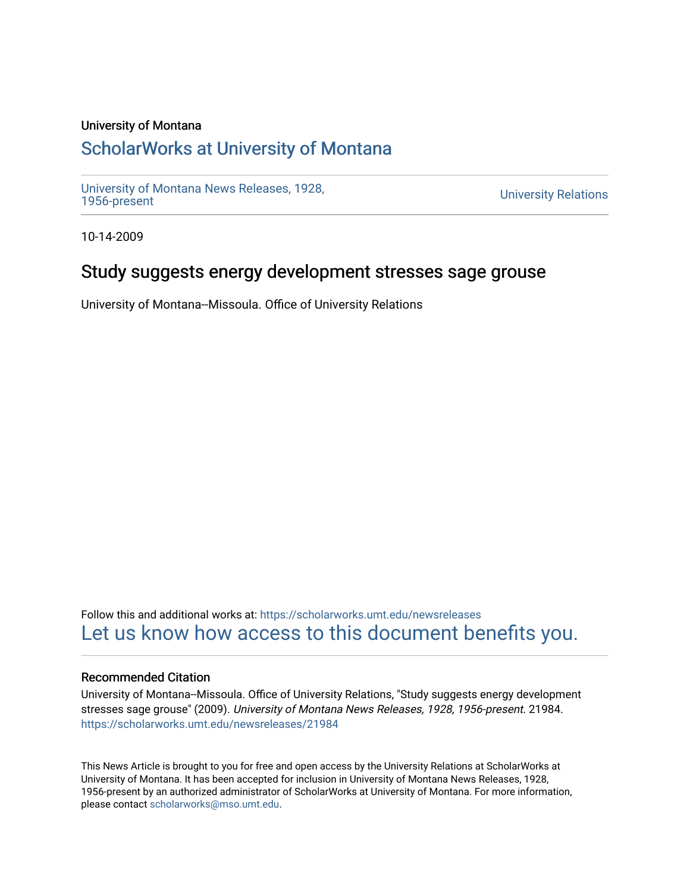### University of Montana

# [ScholarWorks at University of Montana](https://scholarworks.umt.edu/)

[University of Montana News Releases, 1928,](https://scholarworks.umt.edu/newsreleases) 

**University Relations** 

10-14-2009

# Study suggests energy development stresses sage grouse

University of Montana--Missoula. Office of University Relations

Follow this and additional works at: [https://scholarworks.umt.edu/newsreleases](https://scholarworks.umt.edu/newsreleases?utm_source=scholarworks.umt.edu%2Fnewsreleases%2F21984&utm_medium=PDF&utm_campaign=PDFCoverPages) [Let us know how access to this document benefits you.](https://goo.gl/forms/s2rGfXOLzz71qgsB2) 

### Recommended Citation

University of Montana--Missoula. Office of University Relations, "Study suggests energy development stresses sage grouse" (2009). University of Montana News Releases, 1928, 1956-present. 21984. [https://scholarworks.umt.edu/newsreleases/21984](https://scholarworks.umt.edu/newsreleases/21984?utm_source=scholarworks.umt.edu%2Fnewsreleases%2F21984&utm_medium=PDF&utm_campaign=PDFCoverPages) 

This News Article is brought to you for free and open access by the University Relations at ScholarWorks at University of Montana. It has been accepted for inclusion in University of Montana News Releases, 1928, 1956-present by an authorized administrator of ScholarWorks at University of Montana. For more information, please contact [scholarworks@mso.umt.edu.](mailto:scholarworks@mso.umt.edu)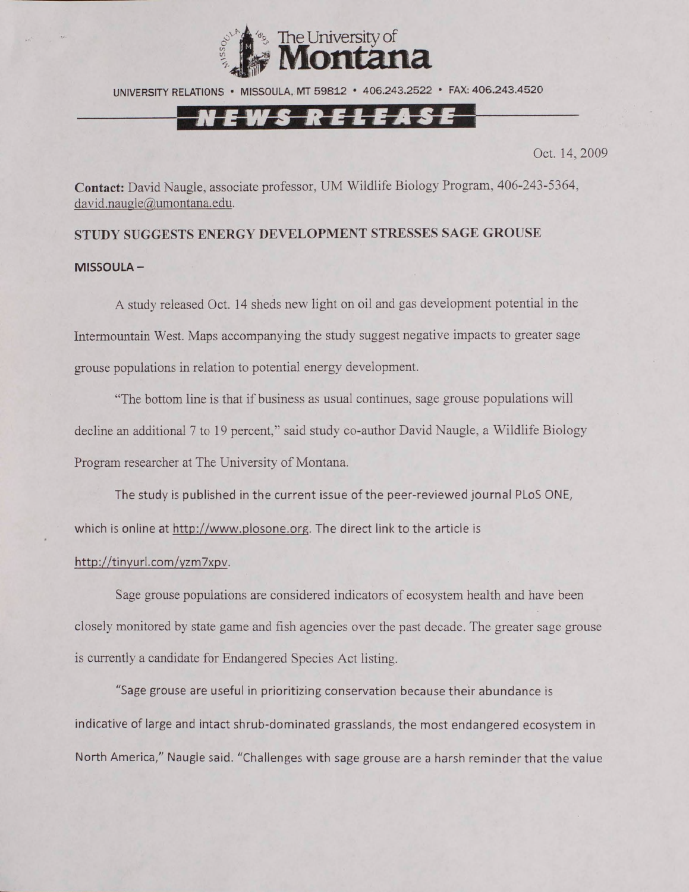

UNIVERSITY RELATIONS • MISSOULA, MT 59812 • 406.243.2522 • FAX: 406.243.4520

### N E W S R E L E A S E

Oct. 14,2009

**Contact:** David Naugle, associate professor, UM Wildlife Biology Program, 406-243-5364, david.naugle@umontana.edu.

## **STUDY SUGGESTS ENERGY DEVELOPMENT STRESSES SAGE GROUSE MISSOULA-**

A study released Oct. 14 sheds new light on oil and gas development potential in the Intermountain West. Maps accompanying the study suggest negative impacts to greater sage grouse populations in relation to potential energy development.

"The bottom line is that if business as usual continues, sage grouse populations will decline an additional 7 to 19 percent," said study co-author David Naugle, a Wildlife Biology Program researcher at The University of Montana.

The study is published in the current issue of the peer-reviewed journal PLoS ONE, which is online at http://www.plosone.org. The direct link to the article is

#### [http://tinyurl.com/vzm7xpv.](http://tinyurl.com/vzm7xpv)

Sage grouse populations are considered indicators of ecosystem health and have been closely monitored by state game and fish agencies over the past decade. The greater sage grouse is currently a candidate for Endangered Species Act listing.

"Sage grouse are useful in prioritizing conservation because their abundance is indicative of large and intact shrub-dominated grasslands, the most endangered ecosystem in North America," Naugle said. "Challenges with sage grouse are a harsh reminder that the value